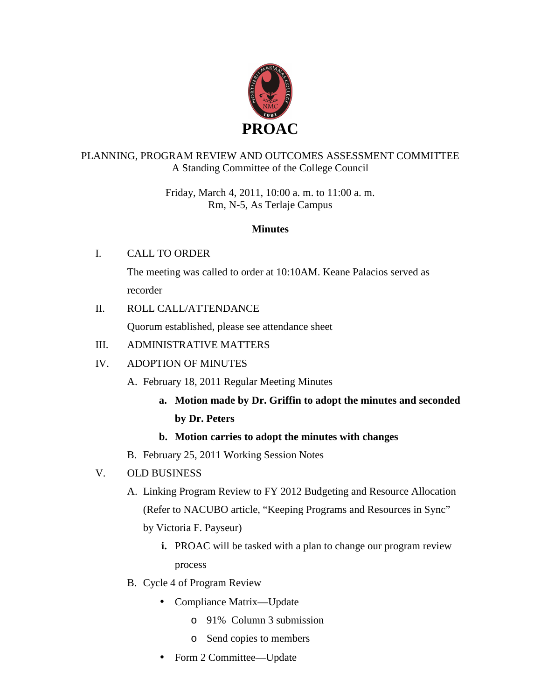

# PLANNING, PROGRAM REVIEW AND OUTCOMES ASSESSMENT COMMITTEE A Standing Committee of the College Council

Friday, March 4, 2011, 10:00 a. m. to 11:00 a. m. Rm, N-5, As Terlaje Campus

## **Minutes**

# I. CALL TO ORDER

The meeting was called to order at 10:10AM. Keane Palacios served as recorder

# II. ROLL CALL/ATTENDANCE

Quorum established, please see attendance sheet

## III. ADMINISTRATIVE MATTERS

# IV. ADOPTION OF MINUTES

- A. February 18, 2011 Regular Meeting Minutes
	- **a. Motion made by Dr. Griffin to adopt the minutes and seconded by Dr. Peters**

## **b. Motion carries to adopt the minutes with changes**

B. February 25, 2011 Working Session Notes

# V. OLD BUSINESS

A. Linking Program Review to FY 2012 Budgeting and Resource Allocation (Refer to NACUBO article, "Keeping Programs and Resources in Sync"

by Victoria F. Payseur)

- **i.** PROAC will be tasked with a plan to change our program review process
- B. Cycle 4 of Program Review
	- Compliance Matrix—Update
		- o 91% Column 3 submission
		- o Send copies to members
	- Form 2 Committee—Update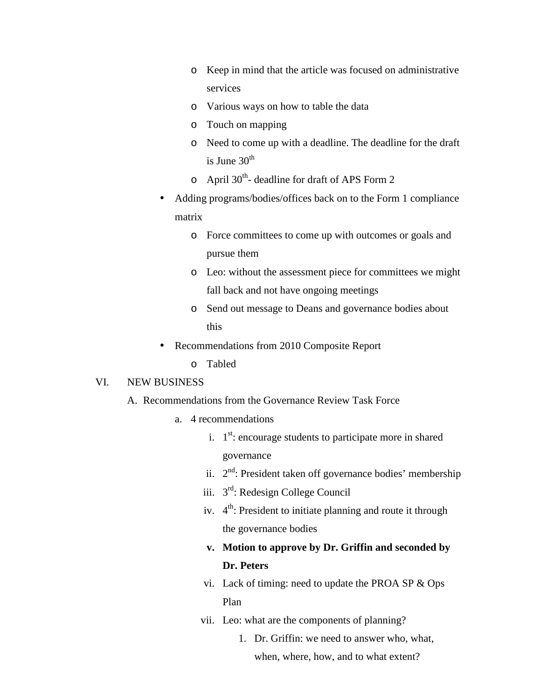- o Keep in mind that the article was focused on administrative services
- o Various ways on how to table the data
- o Touch on mapping
- o Need to come up with a deadline. The deadline for the draft is June  $30<sup>th</sup>$
- $\circ$  April 30<sup>th</sup>- deadline for draft of APS Form 2
- Adding programs/bodies/offices back on to the Form 1 compliance matrix
	- o Force committees to come up with outcomes or goals and pursue them
	- o Leo: without the assessment piece for committees we might fall back and not have ongoing meetings
	- o Send out message to Deans and governance bodies about this
- Recommendations from 2010 Composite Report
	- o Tabled

#### VI. NEW BUSINESS

- A. Recommendations from the Governance Review Task Force
	- a. 4 recommendations
		- i.  $1<sup>st</sup>$ : encourage students to participate more in shared governance
		- ii.  $2<sup>nd</sup>$ : President taken off governance bodies' membership
		- iii. 3<sup>rd</sup>: Redesign College Council
		- iv.  $4<sup>th</sup>$ : President to initiate planning and route it through the governance bodies
		- **v. Motion to approve by Dr. Griffin and seconded by Dr. Peters**
		- vi. Lack of timing: need to update the PROA SP & Ops Plan
		- vii. Leo: what are the components of planning?
			- 1. Dr. Griffin: we need to answer who, what, when, where, how, and to what extent?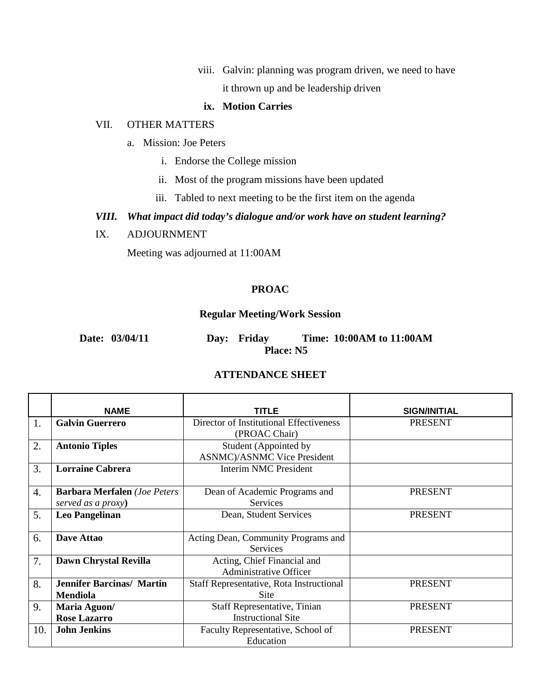viii. Galvin: planning was program driven, we need to have it thrown up and be leadership driven

### **ix. Motion Carries**

#### VII. OTHER MATTERS

- a. Mission: Joe Peters
	- i. Endorse the College mission
	- ii. Most of the program missions have been updated
	- iii. Tabled to next meeting to be the first item on the agenda

## *VIII. What impact did today's dialogue and/or work have on student learning?*

IX. ADJOURNMENT

Meeting was adjourned at 11:00AM

### **PROAC**

### **Regular Meeting/Work Session**

| Date: 03/04/11 |           | Day: Friday |  | Time: 10:00AM to 11:00AM |
|----------------|-----------|-------------|--|--------------------------|
|                | Place: N5 |             |  |                          |

### **ATTENDANCE SHEET**

|     | <b>NAME</b>                         | <b>TITLE</b>                             | <b>SIGN/INITIAL</b> |
|-----|-------------------------------------|------------------------------------------|---------------------|
| 1.  | <b>Galvin Guerrero</b>              | Director of Institutional Effectiveness  | <b>PRESENT</b>      |
|     |                                     | (PROAC Chair)                            |                     |
| 2.  | <b>Antonio Tiples</b>               | Student (Appointed by                    |                     |
|     |                                     | <b>ASNMC</b> )/ASNMC Vice President      |                     |
| 3.  | <b>Lorraine Cabrera</b>             | <b>Interim NMC President</b>             |                     |
|     |                                     |                                          |                     |
| 4.  | <b>Barbara Merfalen</b> (Joe Peters | Dean of Academic Programs and            | <b>PRESENT</b>      |
|     | served as a proxy)                  | <b>Services</b>                          |                     |
| 5.  | <b>Leo Pangelinan</b>               | Dean, Student Services                   | <b>PRESENT</b>      |
|     |                                     |                                          |                     |
| 6.  | Dave Attao                          | Acting Dean, Community Programs and      |                     |
|     |                                     | <b>Services</b>                          |                     |
| 7.  | Dawn Chrystal Revilla               | Acting, Chief Financial and              |                     |
|     |                                     | <b>Administrative Officer</b>            |                     |
| 8.  | <b>Jennifer Barcinas/ Martin</b>    | Staff Representative, Rota Instructional | <b>PRESENT</b>      |
|     | <b>Mendiola</b>                     | Site                                     |                     |
| 9.  | Maria Aguon/                        | Staff Representative, Tinian             | <b>PRESENT</b>      |
|     | <b>Rose Lazarro</b>                 | <b>Instructional Site</b>                |                     |
| 10. | <b>John Jenkins</b>                 | Faculty Representative, School of        | <b>PRESENT</b>      |
|     |                                     | Education                                |                     |